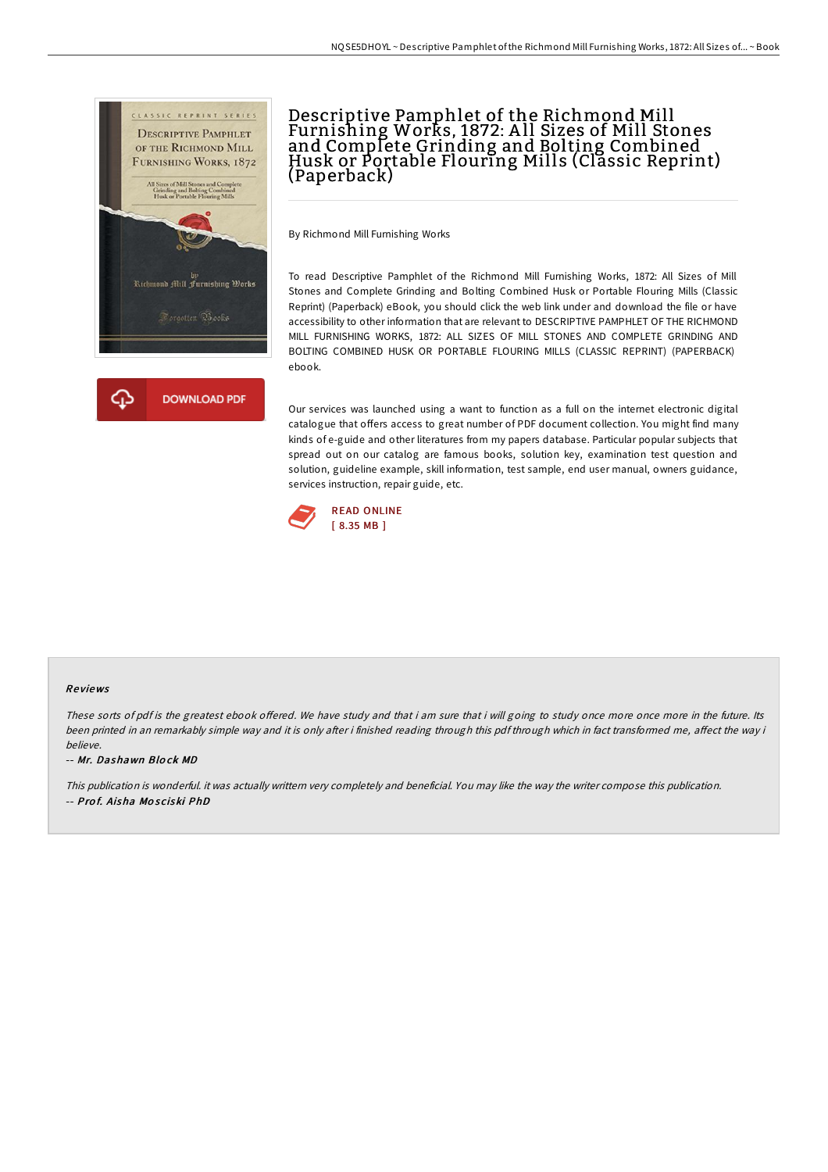

# Descriptive Pamphlet of the Richmond Mill Furnishing Works, 1872: A ll Sizes of Mill Stones and Complete Grinding and Bolting Combined Husk or Portable Flouring Mills (Classic Reprint) (Paperback)

By Richmond Mill Furnishing Works

To read Descriptive Pamphlet of the Richmond Mill Furnishing Works, 1872: All Sizes of Mill Stones and Complete Grinding and Bolting Combined Husk or Portable Flouring Mills (Classic Reprint) (Paperback) eBook, you should click the web link under and download the file or have accessibility to other information that are relevant to DESCRIPTIVE PAMPHLET OF THE RICHMOND MILL FURNISHING WORKS, 1872: ALL SIZES OF MILL STONES AND COMPLETE GRINDING AND BOLTING COMBINED HUSK OR PORTABLE FLOURING MILLS (CLASSIC REPRINT) (PAPERBACK) ebook.

Our services was launched using a want to function as a full on the internet electronic digital catalogue that offers access to great number of PDF document collection. You might find many kinds of e-guide and other literatures from my papers database. Particular popular subjects that spread out on our catalog are famous books, solution key, examination test question and solution, guideline example, skill information, test sample, end user manual, owners guidance, services instruction, repair guide, etc.



#### Re views

These sorts of pdf is the greatest ebook offered. We have study and that i am sure that i will going to study once more once more in the future. Its been printed in an remarkably simple way and it is only after i finished reading through this pdf through which in fact transformed me, affect the way i believe.

-- Mr. Dashawn Blo ck MD

This publication is wonderful. it was actually writtern very completely and beneficial. You may like the way the writer compose this publication. -- Prof. Aisha Mosciski PhD